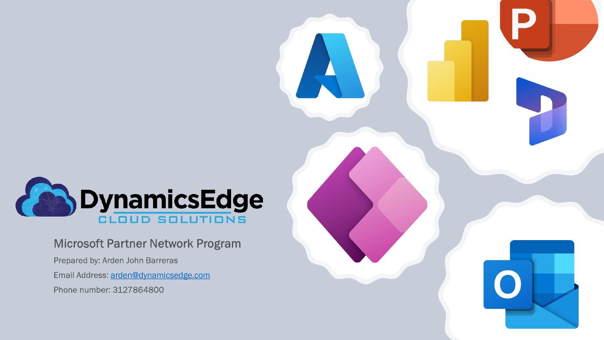

#### **Microsoft Partner Network Program**

Prepared by: Arden John Barreras

Email Address: [arden@dynamicsedge.com](mailto:arden@dynamicsedge.com)

Phone number: 3127864800

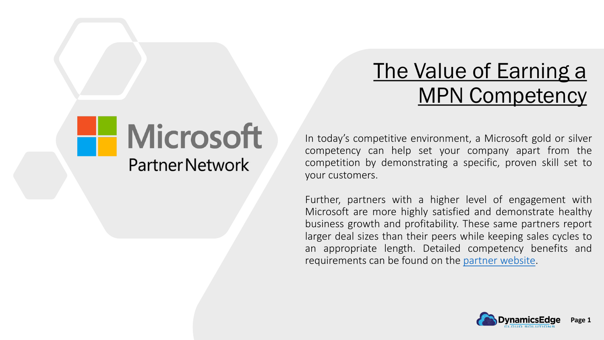# The Value of Earning a MPN Competency

In today's competitive environment, a Microsoft gold or silver competency can help set your company apart from the competition by demonstrating a specific, proven skill set to your customers.

**Microsoft** 

**Partner Network** 

Further, partners with a higher level of engagement with Microsoft are more highly satisfied and demonstrate healthy business growth and profitability. These same partners report larger deal sizes than their peers while keeping sales cycles to an appropriate length. Detailed competency benefits and requirements can be found on the partner [website](https://partner.microsoft.com/en-us/membership/competencies).

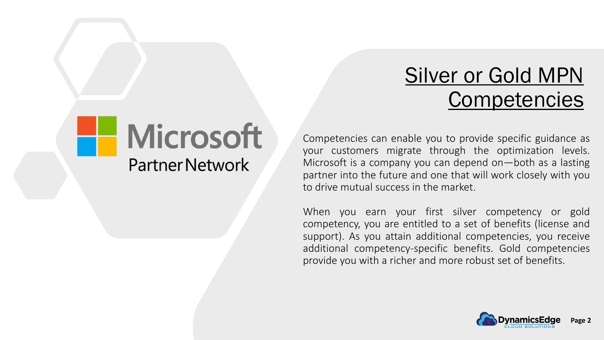### Silver or Gold MPN **Competencies**

**Microsoft Partner Network** 

Competencies can enable you to provide specific guidance as your customers migrate through the optimization levels. Microsoft is a company you can depend on—both as a lasting partner into the future and one that will work closely with you to drive mutual success in the market.

When you earn your first silver competency or gold competency, you are entitled to a set of benefits (license and support). As you attain additional competencies, you receive additional competency-specific benefits. Gold competencies provide you with a richer and more robust set of benefits.

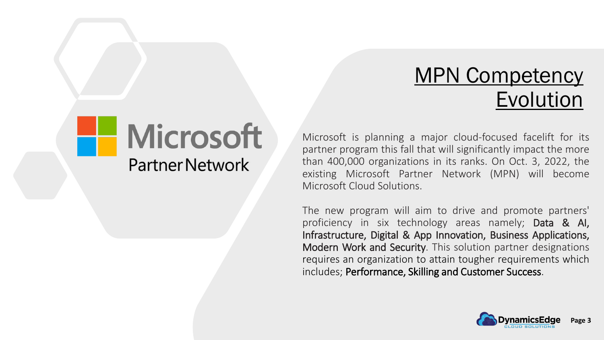### MPN Competency Evolution

**Microsoft Partner Network** 

Microsoft is planning a major cloud-focused facelift for its partner program this fall that will significantly impact the more than 400,000 organizations in its ranks. On Oct. 3, 2022, the existing Microsoft Partner Network (MPN) will become Microsoft Cloud Solutions.

The new program will aim to drive and promote partners' proficiency in six technology areas namely; Data & AI, Infrastructure, Digital & App Innovation, Business Applications, Modern Work and Security. This solution partner designations requires an organization to attain tougher requirements which includes; Performance, Skilling and Customer Success.

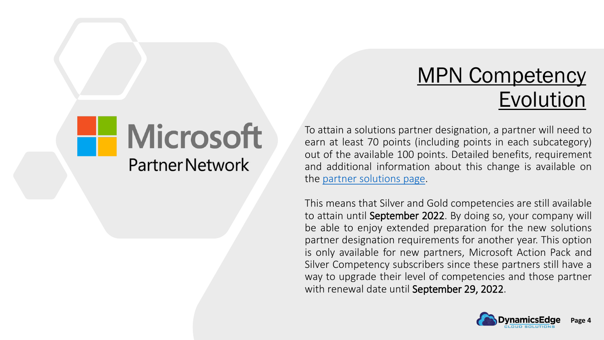### MPN Competency Evolution

**Microsoft Partner Network** 

To attain a solutions partner designation, a partner will need to earn at least 70 points (including points in each subcategory) out of the available 100 points. Detailed benefits, requirement and additional information about this change is available on the partner [solutions](https://partner.microsoft.com/en-us/membership/solutions-partner) page.

This means that Silver and Gold competencies are still available to attain until September 2022. By doing so, your company will be able to enjoy extended preparation for the new solutions partner designation requirements for another year. This option is only available for new partners, Microsoft Action Pack and Silver Competency subscribers since these partners still have a way to upgrade their level of competencies and those partner with renewal date until September 29, 2022.

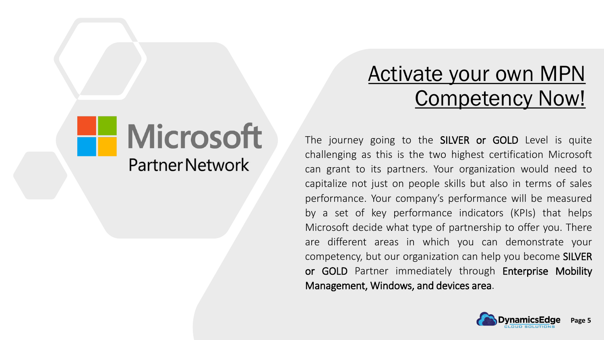# Activate your own MPN Competency Now!

The journey going to the **SILVER or GOLD** Level is quite challenging as this is the two highest certification Microsoft can grant to its partners. Your organization would need to capitalize not just on people skills but also in terms of sales performance. Your company's performance will be measured by a set of key performance indicators (KPIs) that helps Microsoft decide what type of partnership to offer you. There are different areas in which you can demonstrate your competency, but our organization can help you become SILVER or GOLD Partner immediately through Enterprise Mobility Management, Windows, and devices area.

**Microsoft** 

**Partner Network** 

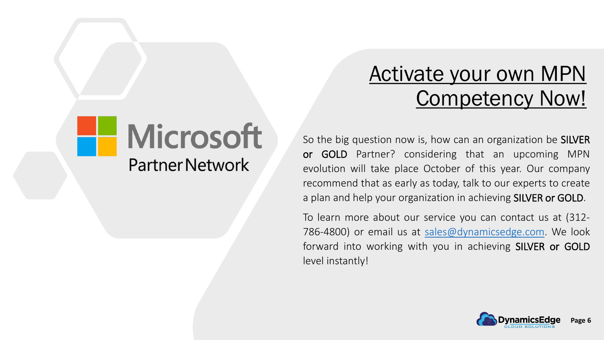# Activate your own MPN Competency Now!

So the big question now is, how can an organization be SILVER or GOLD Partner? considering that an upcoming MPN evolution will take place October of this year. Our company recommend that as early as today, talk to our experts to create a plan and help your organization in achieving **SILVER or GOLD**.

**Microsoft** 

Partner Network

To learn more about our service you can contact us at (312 786-4800) or email us at [sales@dynamicsedge.com.](mailto:sales@dynamicsedge.com) We look forward into working with you in achieving SILVER or GOLD level instantly!

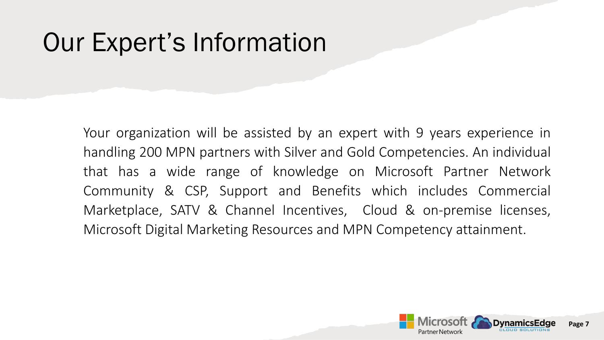# Our Expert's Information

Your organization will be assisted by an expert with 9 years experience in handling 200 MPN partners with Silver and Gold Competencies. An individual that has a wide range of knowledge on Microsoft Partner Network Community & CSP, Support and Benefits which includes Commercial Marketplace, SATV & Channel Incentives, Cloud & on-premise licenses, Microsoft Digital Marketing Resources and MPN Competency attainment.